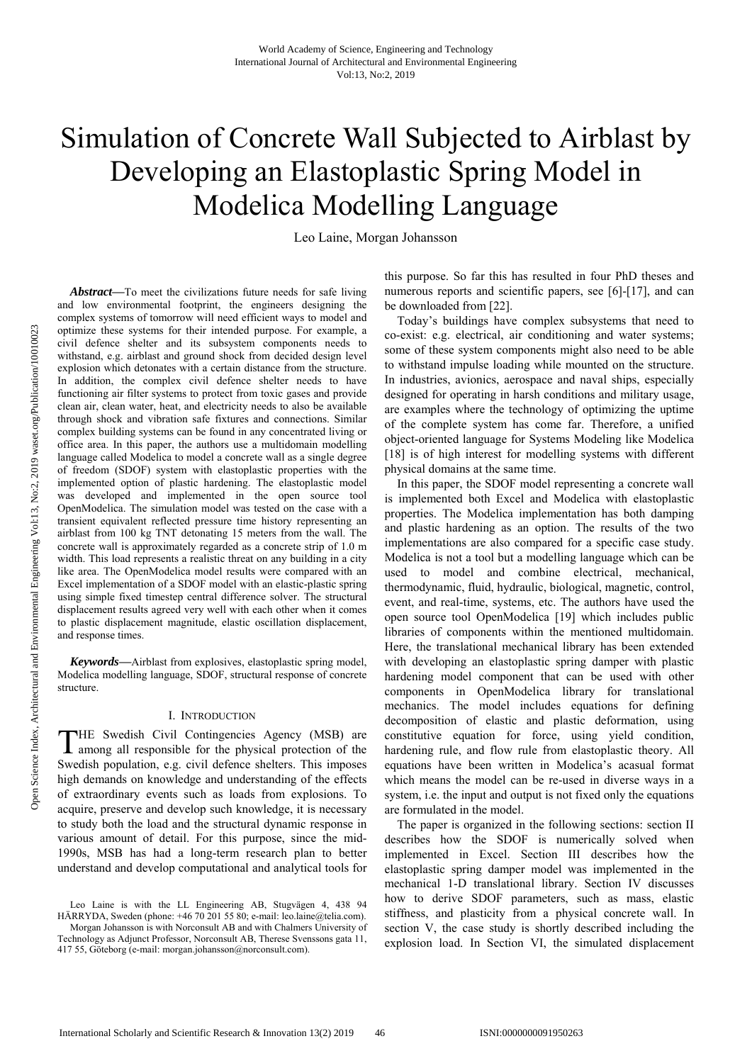# Simulation of Concrete Wall Subjected to Airblast by Developing an Elastoplastic Spring Model in Modelica Modelling Language

Leo Laine, Morgan Johansson

*Abstract***—**To meet the civilizations future needs for safe living and low environmental footprint, the engineers designing the complex systems of tomorrow will need efficient ways to model and optimize these systems for their intended purpose. For example, a civil defence shelter and its subsystem components needs to withstand, e.g. airblast and ground shock from decided design level explosion which detonates with a certain distance from the structure. In addition, the complex civil defence shelter needs to have functioning air filter systems to protect from toxic gases and provide clean air, clean water, heat, and electricity needs to also be available through shock and vibration safe fixtures and connections. Similar complex building systems can be found in any concentrated living or office area. In this paper, the authors use a multidomain modelling language called Modelica to model a concrete wall as a single degree of freedom (SDOF) system with elastoplastic properties with the implemented option of plastic hardening. The elastoplastic model was developed and implemented in the open source tool OpenModelica. The simulation model was tested on the case with a transient equivalent reflected pressure time history representing an airblast from 100 kg TNT detonating 15 meters from the wall. The concrete wall is approximately regarded as a concrete strip of 1.0 m width. This load represents a realistic threat on any building in a city like area. The OpenModelica model results were compared with an Excel implementation of a SDOF model with an elastic-plastic spring using simple fixed timestep central difference solver. The structural displacement results agreed very well with each other when it comes to plastic displacement magnitude, elastic oscillation displacement, and response times.

*Keywords***—**Airblast from explosives, elastoplastic spring model, Modelica modelling language, SDOF, structural response of concrete structure.

### I. INTRODUCTION

THE Swedish Civil Contingencies Agency (MSB) are among all responsible for the physical protection of the among all responsible for the physical protection of the Swedish population, e.g. civil defence shelters. This imposes high demands on knowledge and understanding of the effects of extraordinary events such as loads from explosions. To acquire, preserve and develop such knowledge, it is necessary to study both the load and the structural dynamic response in various amount of detail. For this purpose, since the mid-1990s, MSB has had a long-term research plan to better understand and develop computational and analytical tools for

this purpose. So far this has resulted in four PhD theses and numerous reports and scientific papers, see [6]-[17], and can be downloaded from [22].

Today's buildings have complex subsystems that need to co-exist: e.g. electrical, air conditioning and water systems; some of these system components might also need to be able to withstand impulse loading while mounted on the structure. In industries, avionics, aerospace and naval ships, especially designed for operating in harsh conditions and military usage, are examples where the technology of optimizing the uptime of the complete system has come far. Therefore, a unified object-oriented language for Systems Modeling like Modelica [18] is of high interest for modelling systems with different physical domains at the same time.

In this paper, the SDOF model representing a concrete wall is implemented both Excel and Modelica with elastoplastic properties. The Modelica implementation has both damping and plastic hardening as an option. The results of the two implementations are also compared for a specific case study. Modelica is not a tool but a modelling language which can be used to model and combine electrical, mechanical, thermodynamic, fluid, hydraulic, biological, magnetic, control, event, and real-time, systems, etc. The authors have used the open source tool OpenModelica [19] which includes public libraries of components within the mentioned multidomain. Here, the translational mechanical library has been extended with developing an elastoplastic spring damper with plastic hardening model component that can be used with other components in OpenModelica library for translational mechanics. The model includes equations for defining decomposition of elastic and plastic deformation, using constitutive equation for force, using yield condition, hardening rule, and flow rule from elastoplastic theory. All equations have been written in Modelica's acasual format which means the model can be re-used in diverse ways in a system, i.e. the input and output is not fixed only the equations are formulated in the model.

The paper is organized in the following sections: section II describes how the SDOF is numerically solved when implemented in Excel. Section III describes how the elastoplastic spring damper model was implemented in the mechanical 1-D translational library. Section IV discusses how to derive SDOF parameters, such as mass, elastic stiffness, and plasticity from a physical concrete wall. In section V, the case study is shortly described including the explosion load. In Section VI, the simulated displacement

Leo Laine is with the LL Engineering AB, Stugvägen 4, 438 94 HÄRRYDA, Sweden (phone: +46 70 201 55 80; e-mail: leo.laine@telia.com).

Morgan Johansson is with Norconsult AB and with Chalmers University of Technology as Adjunct Professor, Norconsult AB, Therese Svenssons gata 11, 417 55, Göteborg (e-mail: morgan.johansson@norconsult.com).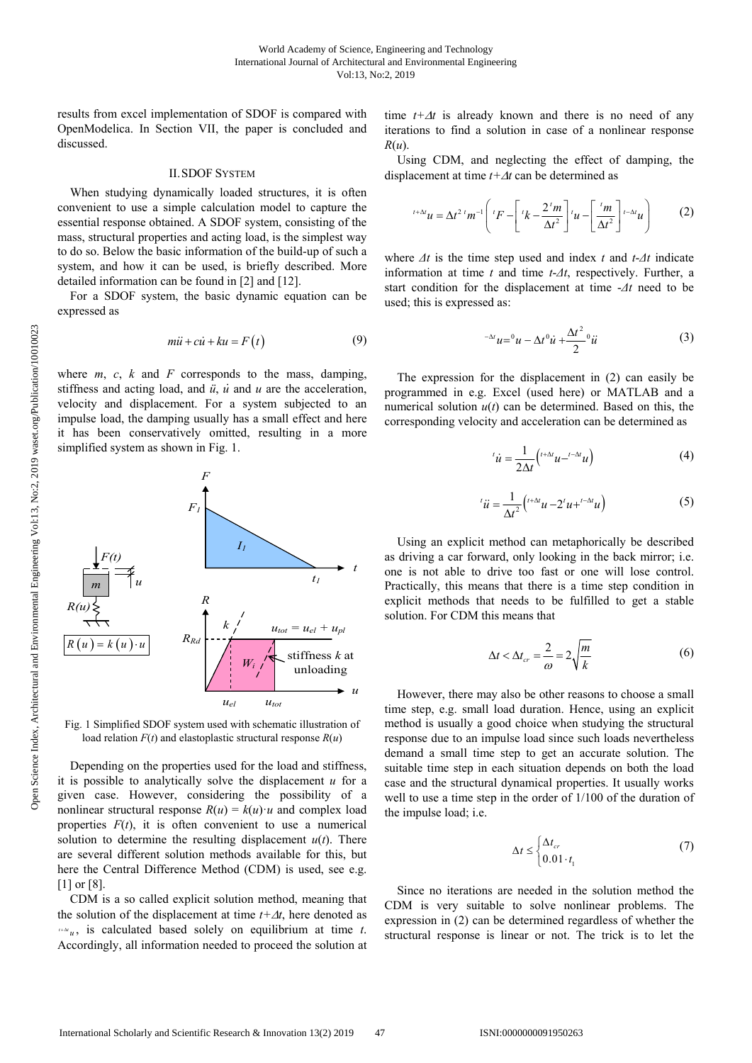results from excel implementation of SDOF is compared with OpenModelica. In Section VII, the paper is concluded and discussed.

### II.SDOF SYSTEM

When studying dynamically loaded structures, it is often convenient to use a simple calculation model to capture the essential response obtained. A SDOF system, consisting of the mass, structural properties and acting load, is the simplest way to do so. Below the basic information of the build-up of such a system, and how it can be used, is briefly described. More detailed information can be found in [2] and [12].

For a SDOF system, the basic dynamic equation can be expressed as

$$
m\ddot{u} + c\dot{u} + ku = F(t) \tag{9}
$$

where  $m$ ,  $c$ ,  $k$  and  $F$  corresponds to the mass, damping, stiffness and acting load, and *ü*, *u̇* and *u* are the acceleration, velocity and displacement. For a system subjected to an impulse load, the damping usually has a small effect and here it has been conservatively omitted, resulting in a more simplified system as shown in Fig. 1.



Fig. 1 Simplified SDOF system used with schematic illustration of load relation *F*(*t*) and elastoplastic structural response *R*(*u*)

Depending on the properties used for the load and stiffness, it is possible to analytically solve the displacement *u* for a given case. However, considering the possibility of a nonlinear structural response  $R(u) = k(u) \cdot u$  and complex load properties  $F(t)$ , it is often convenient to use a numerical solution to determine the resulting displacement  $u(t)$ . There are several different solution methods available for this, but here the Central Difference Method (CDM) is used, see e.g. [1] or [8].

CDM is a so called explicit solution method, meaning that the solution of the displacement at time  $t + \Delta t$ , here denoted as  $t + \Delta u$ , is calculated based solely on equilibrium at time *t*. Accordingly, all information needed to proceed the solution at time  $t + \Delta t$  is already known and there is no need of any iterations to find a solution in case of a nonlinear response *R*(*u*).

Using CDM, and neglecting the effect of damping, the displacement at time  $t + \Delta t$  can be determined as

$$
t+\Delta t}u = \Delta t^{2} {}^{t}m^{-1}\left({}^{t}F - \left[{}^{t}k - \frac{2 {}^{t}m}{\Delta t^{2}}\right]^{t}u - \left[\frac{ {}^{t}m}{\Delta t^{2}}\right]^{t-\Delta t}u\right) \tag{2}
$$

where  $\Delta t$  is the time step used and index *t* and  $t \Delta t$  indicate information at time *t* and time *t*-*Δt*, respectively. Further, a start condition for the displacement at time -*Δt* need to be used; this is expressed as:

$$
^{-\Delta t}u = 0u - \Delta t^0 \dot{u} + \frac{\Delta t^2}{2} u \dot{u}
$$
 (3)

The expression for the displacement in (2) can easily be programmed in e.g. Excel (used here) or MATLAB and a numerical solution  $u(t)$  can be determined. Based on this, the corresponding velocity and acceleration can be determined as

$$
i'\dot{u} = \frac{1}{2\Delta t} \left( t^{+\Delta t} u - t^{-\Delta t} u \right) \tag{4}
$$

$$
i\ddot{u} = \frac{1}{\Delta t^2} \left( t^{+\Delta t} u - 2^t u + t^{-\Delta t} u \right) \tag{5}
$$

Using an explicit method can metaphorically be described as driving a car forward, only looking in the back mirror; i.e. one is not able to drive too fast or one will lose control. Practically, this means that there is a time step condition in explicit methods that needs to be fulfilled to get a stable solution. For CDM this means that

$$
\Delta t < \Delta t_{cr} = \frac{2}{\omega} = 2\sqrt{\frac{m}{k}}\tag{6}
$$

However, there may also be other reasons to choose a small time step, e.g. small load duration. Hence, using an explicit method is usually a good choice when studying the structural response due to an impulse load since such loads nevertheless demand a small time step to get an accurate solution. The suitable time step in each situation depends on both the load case and the structural dynamical properties. It usually works well to use a time step in the order of 1/100 of the duration of the impulse load; i.e.

$$
\Delta t \le \begin{cases} \Delta t_{cr} \\ 0.01 \cdot t_1 \end{cases} \tag{7}
$$

Since no iterations are needed in the solution method the CDM is very suitable to solve nonlinear problems. The expression in (2) can be determined regardless of whether the structural response is linear or not. The trick is to let the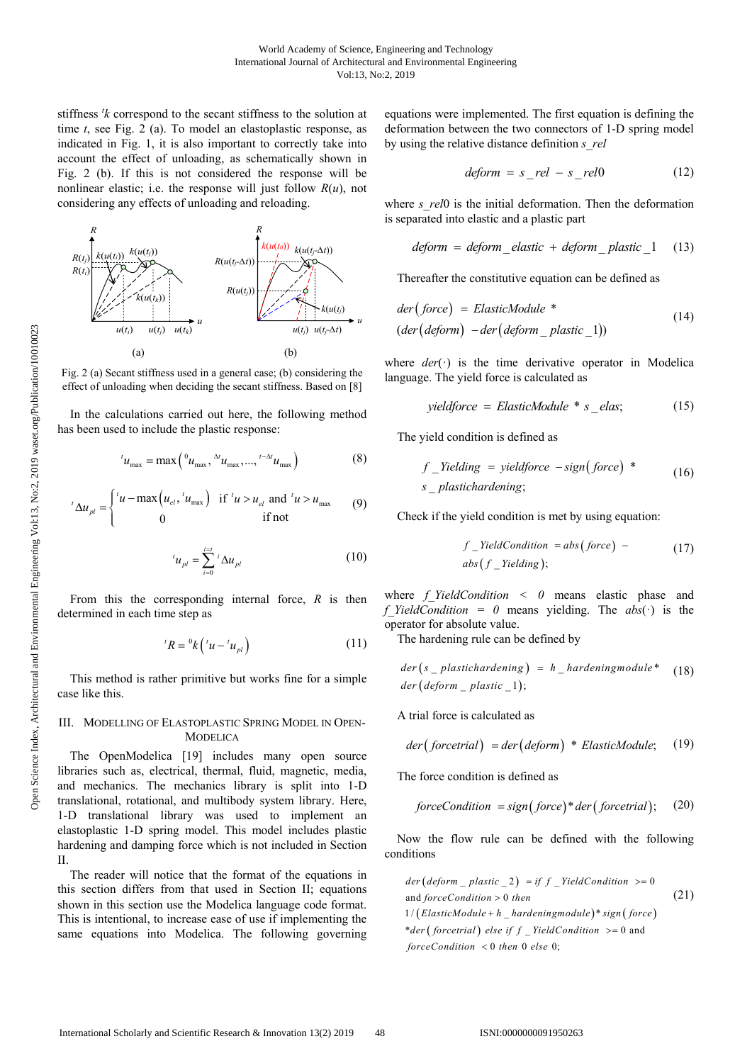stiffness *<sup>t</sup> k* correspond to the secant stiffness to the solution at time *t*, see Fig. 2 (a). To model an elastoplastic response, as indicated in Fig. 1, it is also important to correctly take into account the effect of unloading, as schematically shown in Fig. 2 (b). If this is not considered the response will be nonlinear elastic; i.e. the response will just follow *R*(*u*), not considering any effects of unloading and reloading.



Fig. 2 (a) Secant stiffness used in a general case; (b) considering the effect of unloading when deciding the secant stiffness. Based on [8]

In the calculations carried out here, the following method has been used to include the plastic response:

$$
{}^{t}u_{\max} = \max\left({}^{0}u_{\max}, {}^{0}u_{\max}, ..., {}^{t-\Delta t}u_{\max}\right) \tag{8}
$$

$$
L_{\Delta u_{pl}} = \begin{cases} L_{ul} & \text{if } u > u_{el} \text{ and } u > u_{max} \\ 0 & \text{if not} \end{cases}
$$

$$
{}^{t}u_{pl} = \sum_{i=0}^{i=t} {}^{i}\Delta u_{pl}
$$
 (10)

From this the corresponding internal force, *R* is then determined in each time step as

$$
{}^{t}R={}^{0}k\left({}^{t}u-{}^{t}u_{pl}\right) \tag{11}
$$

This method is rather primitive but works fine for a simple case like this.

## III. MODELLING OF ELASTOPLASTIC SPRING MODEL IN OPEN-**MODELICA**

The OpenModelica [19] includes many open source libraries such as, electrical, thermal, fluid, magnetic, media, and mechanics. The mechanics library is split into 1-D translational, rotational, and multibody system library. Here, 1-D translational library was used to implement an elastoplastic 1-D spring model. This model includes plastic hardening and damping force which is not included in Section II.

The reader will notice that the format of the equations in this section differs from that used in Section II; equations shown in this section use the Modelica language code format. This is intentional, to increase ease of use if implementing the same equations into Modelica. The following governing equations were implemented. The first equation is defining the deformation between the two connectors of 1-D spring model by using the relative distance definition *s\_rel*

$$
deform = s_{rel} - s_{rel}0 \tag{12}
$$

where *s* rel0 is the initial deformation. Then the deformation is separated into elastic and a plastic part

$$
deform = deform\_elastic + deform\_plastic\_1
$$
 (13)

Thereafter the constitutive equation can be defined as

$$
der(force) = ElasticModule *(der (deform) - der (deform_ plastic_1))
$$
\n(14)

where *der*(·) is the time derivative operator in Modelica language. The yield force is calculated as

$$
yield force = ElasticModule * s_elas;
$$
 (15)

The yield condition is defined as

$$
f_{\text{1}}\text{Yielding} = \text{yieldforce} - \text{sign}(\text{force}) \times \text{exp}(\text{16})
$$
\n
$$
s_{\text{2}}\text{plastichardening};
$$

Check if the yield condition is met by using equation:

$$
f_{\text{1}}\text{YieldCondition} = abs(force) - \tag{17}
$$
\n
$$
abs(f_{\text{1}}\text{Yielding});
$$

where *f\_YieldCondition < 0* means elastic phase and *f* YieldCondition = 0 means yielding. The  $abs(·)$  is the operator for absolute value.

The hardening rule can be defined by

$$
der(s \_plastic hardening) = h \_hardeningmodule^* \quad (18)
$$
  

$$
der (deform \_ plastic \_1);
$$

A trial force is calculated as

$$
der(forcetrial) = der(deform) * ElasticModule; (19)
$$

The force condition is defined as

$$
forceCondition = sign (force)*der (forecastrial); (20)
$$

Now the flow rule can be defined with the following conditions

$$
der (deform_{p})|aistic_{p} = if f_{p}+YieldCondition_{p} >= 0
$$
\n
$$
and forceCondition > 0 then
$$
\n
$$
1/(ElasticModule + h_{p}) * sign (force)
$$
\n
$$
*der (forcential) else if f_{p}+YieldCondition_{p} >= 0 and
$$
\n
$$
forceCondition_{p} < 0 then 0 else 0;
$$
\n
$$
x = 0
$$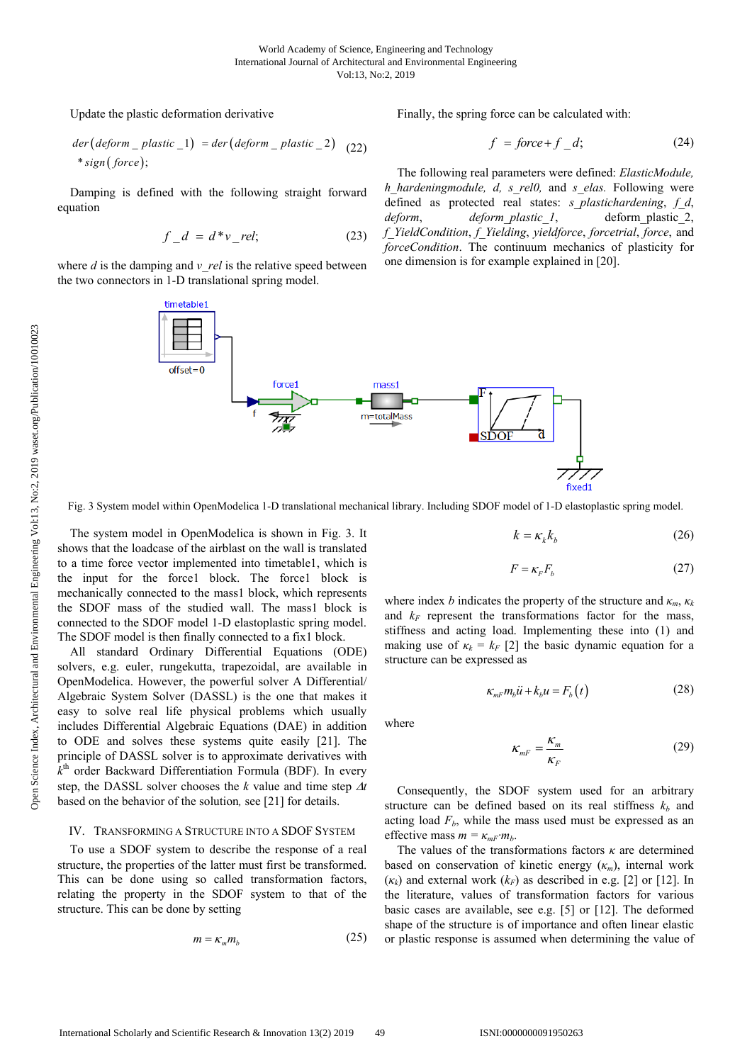Update the plastic deformation derivative

$$
der (deform_{plastic_{1}}) = der (deform_{plastic_{2}}) (22)
$$
  
\* sign (force);

Damping is defined with the following straight forward equation

$$
f \quad d = d^*v \quad rel; \tag{23}
$$

where  $d$  is the damping and  $v$  *rel* is the relative speed between the two connectors in 1-D translational spring model.

timetable1

 $offset = 0$ 

Finally, the spring force can be calculated with:

$$
f = force + f_d;
$$
 (24)

The following real parameters were defined: *ElasticModule, h\_hardeningmodule, d, s\_rel0,* and *s\_elas.* Following were defined as protected real states: *s\_plastichardening*, *f\_d*, *deform*, *deform\_plastic\_1*, deform\_plastic\_2, *f\_YieldCondition*, *f\_Yielding*, *yieldforce*, *forcetrial*, *force*, and *forceCondition*. The continuum mechanics of plasticity for one dimension is for example explained in [20].

fixed1 Fig. 3 System model within OpenModelica 1-D translational mechanical library. Including SDOF model of 1-D elastoplastic spring model.

The system model in OpenModelica is shown in Fig. 3. It shows that the loadcase of the airblast on the wall is translated to a time force vector implemented into timetable1, which is the input for the force1 block. The force1 block is mechanically connected to the mass1 block, which represents the SDOF mass of the studied wall. The mass1 block is connected to the SDOF model 1-D elastoplastic spring model. The SDOF model is then finally connected to a fix1 block.

All standard Ordinary Differential Equations (ODE) solvers, e.g. euler, rungekutta, trapezoidal, are available in OpenModelica. However, the powerful solver A Differential/ Algebraic System Solver (DASSL) is the one that makes it easy to solve real life physical problems which usually includes Differential Algebraic Equations (DAE) in addition to ODE and solves these systems quite easily [21]. The principle of DASSL solver is to approximate derivatives with  $k<sup>th</sup>$  order Backward Differentiation Formula (BDF). In every step, the DASSL solver chooses the  $k$  value and time step  $\Delta t$ based on the behavior of the solution*,* see [21] for details.

# IV. TRANSFORMING A STRUCTURE INTO A SDOF SYSTEM

To use a SDOF system to describe the response of a real structure, the properties of the latter must first be transformed. This can be done using so called transformation factors, relating the property in the SDOF system to that of the structure. This can be done by setting

$$
m = \kappa_m m_b \tag{25}
$$

$$
k = \kappa_k k_b \tag{26}
$$

$$
F = \kappa_F F_b \tag{27}
$$

where index *b* indicates the property of the structure and  $\kappa_m$ ,  $\kappa_k$ and  $k_F$  represent the transformations factor for the mass, stiffness and acting load. Implementing these into (1) and making use of  $\kappa_k = k_F$  [2] the basic dynamic equation for a structure can be expressed as

$$
\kappa_{mF} m_b \ddot{u} + k_b u = F_b(t) \tag{28}
$$

where

$$
\kappa_{mF} = \frac{\kappa_m}{\kappa_F} \tag{29}
$$

Consequently, the SDOF system used for an arbitrary structure can be defined based on its real stiffness  $k_b$  and acting load  $F_b$ , while the mass used must be expressed as an effective mass  $m = \kappa_{mF} \cdot m_b$ .

The values of the transformations factors *κ* are determined based on conservation of kinetic energy (*κm*), internal work  $(\kappa_k)$  and external work  $(k_F)$  as described in e.g. [2] or [12]. In the literature, values of transformation factors for various basic cases are available, see e.g. [5] or [12]. The deformed shape of the structure is of importance and often linear elastic or plastic response is assumed when determining the value of

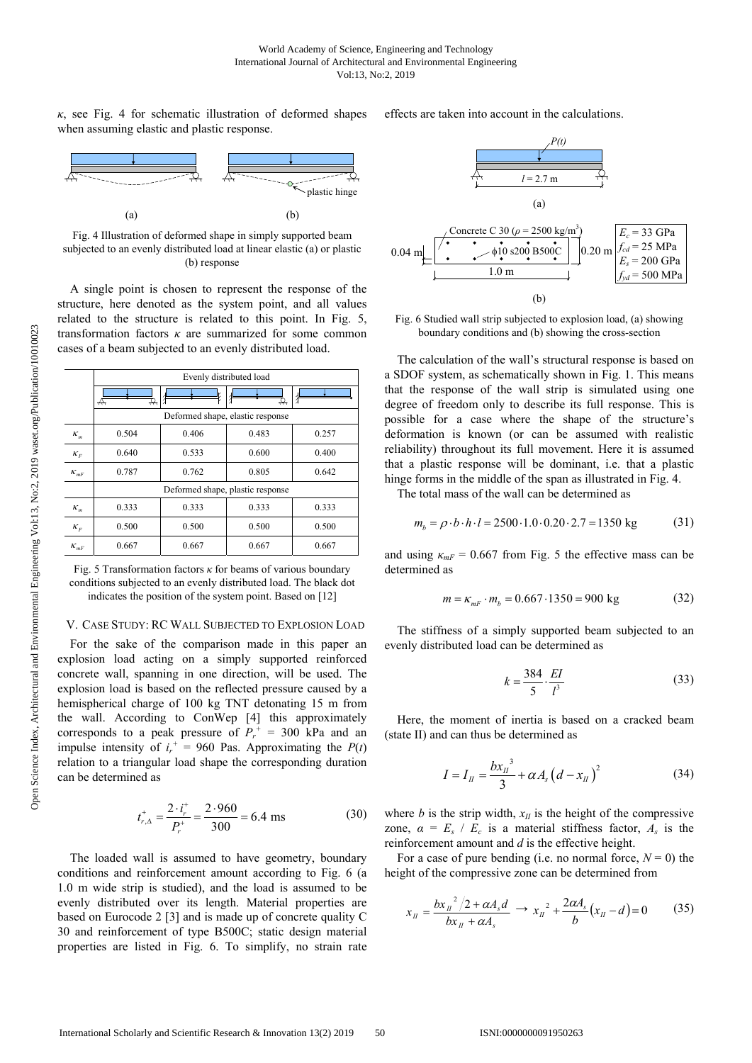$\kappa$ , see Fig. 4 for schematic illustration of deformed shapes when assuming elastic and plastic response.



Fig. 4 Illustration of deformed shape in simply supported beam subjected to an evenly distributed load at linear elastic (a) or plastic (b) response

A single point is chosen to represent the response of the structure, here denoted as the system point, and all values related to the structure is related to this point. In Fig. 5, transformation factors *κ* are summarized for some common cases of a beam subjected to an evenly distributed load.

|          | Evenly distributed load          |       |       |       |
|----------|----------------------------------|-------|-------|-------|
|          | ↛<br>₩                           |       | ↢     |       |
|          | Deformed shape, elastic response |       |       |       |
| $K_m$    | 0.504                            | 0.406 | 0.483 | 0.257 |
| $K_F$    | 0.640                            | 0.533 | 0.600 | 0.400 |
| $K_{mF}$ | 0.787                            | 0.762 | 0.805 | 0.642 |
|          | Deformed shape, plastic response |       |       |       |
| $K_m$    | 0.333                            | 0.333 | 0.333 | 0.333 |
| $K_F$    | 0.500                            | 0.500 | 0.500 | 0.500 |
| $K_{mF}$ | 0.667                            | 0.667 | 0.667 | 0.667 |

Fig. 5 Transformation factors *κ* for beams of various boundary conditions subjected to an evenly distributed load. The black dot indicates the position of the system point. Based on [12]

#### V. CASE STUDY: RC WALL SUBJECTED TO EXPLOSION LOAD

For the sake of the comparison made in this paper an explosion load acting on a simply supported reinforced concrete wall, spanning in one direction, will be used. The explosion load is based on the reflected pressure caused by a hemispherical charge of 100 kg TNT detonating 15 m from the wall. According to ConWep [4] this approximately corresponds to a peak pressure of  $P_r^+ = 300$  kPa and an impulse intensity of  $i_r^+ = 960$  Pas. Approximating the  $P(t)$ relation to a triangular load shape the corresponding duration can be determined as

$$
t_{r,\Delta}^{+} = \frac{2 \cdot i_r^{+}}{P_r^{+}} = \frac{2 \cdot 960}{300} = 6.4 \text{ ms}
$$
 (30)

The loaded wall is assumed to have geometry, boundary conditions and reinforcement amount according to Fig. 6 (a 1.0 m wide strip is studied), and the load is assumed to be evenly distributed over its length. Material properties are based on Eurocode 2 [3] and is made up of concrete quality C 30 and reinforcement of type B500C; static design material properties are listed in Fig. 6. To simplify, no strain rate effects are taken into account in the calculations.



Fig. 6 Studied wall strip subjected to explosion load, (a) showing boundary conditions and (b) showing the cross-section

The calculation of the wall's structural response is based on a SDOF system, as schematically shown in Fig. 1. This means that the response of the wall strip is simulated using one degree of freedom only to describe its full response. This is possible for a case where the shape of the structure's deformation is known (or can be assumed with realistic reliability) throughout its full movement. Here it is assumed that a plastic response will be dominant, i.e. that a plastic hinge forms in the middle of the span as illustrated in Fig. 4.

The total mass of the wall can be determined as

$$
m_b = \rho \cdot b \cdot h \cdot l = 2500 \cdot 1.0 \cdot 0.20 \cdot 2.7 = 1350 \text{ kg} \tag{31}
$$

and using  $\kappa_{mF}$  = 0.667 from Fig. 5 the effective mass can be determined as

$$
m = \kappa_{mF} \cdot m_b = 0.667 \cdot 1350 = 900 \text{ kg} \tag{32}
$$

The stiffness of a simply supported beam subjected to an evenly distributed load can be determined as

$$
k = \frac{384}{5} \cdot \frac{EI}{l^3} \tag{33}
$$

Here, the moment of inertia is based on a cracked beam (state II) and can thus be determined as

$$
I = I_{II} = \frac{b x_{II}^{3}}{3} + \alpha A_{s} (d - x_{II})^{2}
$$
 (34)

where *b* is the strip width,  $x_{II}$  is the height of the compressive zone,  $\alpha = E_s / E_c$  is a material stiffness factor,  $A_s$  is the reinforcement amount and *d* is the effective height.

For a case of pure bending (i.e. no normal force,  $N = 0$ ) the height of the compressive zone can be determined from

$$
x_{II} = \frac{b x_{II}^{2} / 2 + \alpha A_{s} d}{b x_{II} + \alpha A_{s}} \to x_{II}^{2} + \frac{2 \alpha A_{s}}{b} (x_{II} - d) = 0 \tag{35}
$$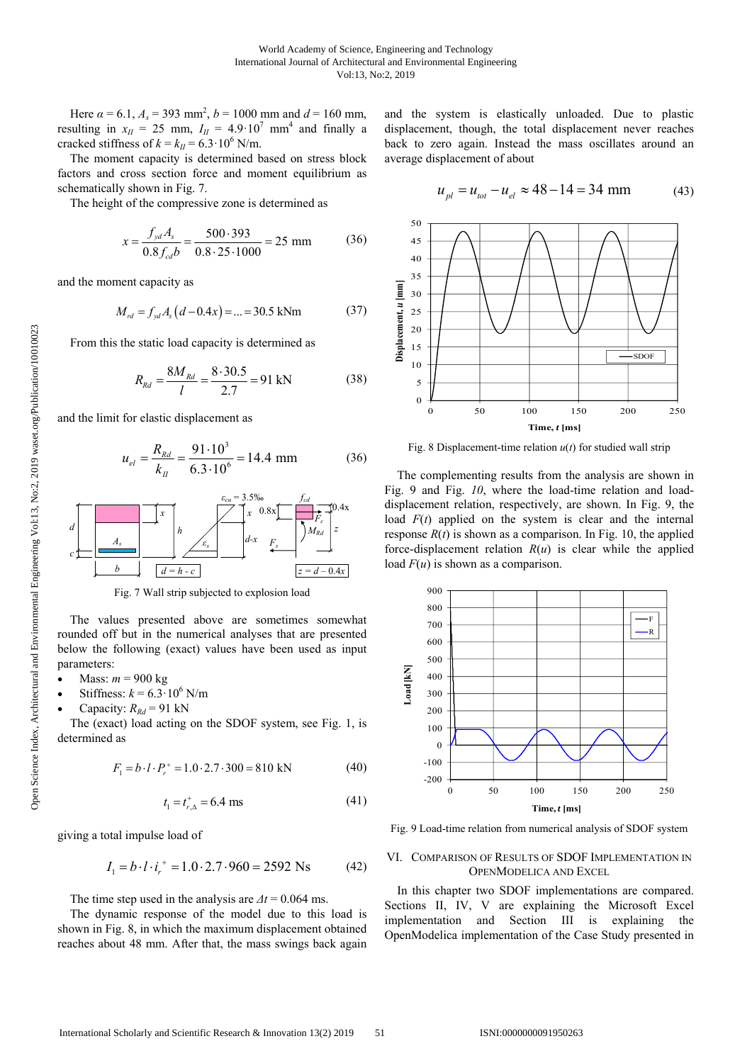Here  $\alpha = 6.1$ ,  $A_s = 393$  mm<sup>2</sup>,  $b = 1000$  mm and  $d = 160$  mm, resulting in  $x_{II} = 25$  mm,  $I_{II} = 4.9 \cdot 10^7$  mm<sup>4</sup> and finally a cracked stiffness of  $k = k_H = 6.3 \cdot 10^6$  N/m.

The moment capacity is determined based on stress block factors and cross section force and moment equilibrium as schematically shown in Fig. 7.

The height of the compressive zone is determined as

$$
x = \frac{f_{yd} A_s}{0.8 f_{cd} b} = \frac{500 \cdot 393}{0.8 \cdot 25 \cdot 1000} = 25 \text{ mm}
$$
 (36)

and the moment capacity as

$$
M_{rd} = f_{yd} A_s (d - 0.4x) = ... = 30.5 \text{ kNm}
$$
 (37)

From this the static load capacity is determined as

$$
R_{\text{Rd}} = \frac{8M_{\text{Rd}}}{l} = \frac{8 \cdot 30.5}{2.7} = 91 \text{ kN}
$$
 (38)

and the limit for elastic displacement as

$$
u_{el} = \frac{R_{Rd}}{k_{II}} = \frac{91 \cdot 10^3}{6.3 \cdot 10^6} = 14.4 \text{ mm}
$$
 (36)



Fig. 7 Wall strip subjected to explosion load

The values presented above are sometimes somewhat rounded off but in the numerical analyses that are presented below the following (exact) values have been used as input parameters:

- Mass: *m* = 900 kg
- Stiffness:  $k = 6.3 \cdot 10^6$  N/m
- Capacity:  $R_{Rd} = 91$  kN

The (exact) load acting on the SDOF system, see Fig. 1, is determined as

$$
F_1 = b \cdot l \cdot P_r^+ = 1.0 \cdot 2.7 \cdot 300 = 810 \text{ kN} \tag{40}
$$

$$
t_1 = t_{r,\Delta}^+ = 6.4 \text{ ms} \tag{41}
$$

giving a total impulse load of

$$
I_1 = b \cdot l \cdot i_r^+ = 1.0 \cdot 2.7 \cdot 960 = 2592 \text{ Ns} \tag{42}
$$

The time step used in the analysis are  $\Delta t = 0.064$  ms.

The dynamic response of the model due to this load is shown in Fig. 8, in which the maximum displacement obtained reaches about 48 mm. After that, the mass swings back again and the system is elastically unloaded. Due to plastic displacement, though, the total displacement never reaches back to zero again. Instead the mass oscillates around an average displacement of about

$$
u_{pl} = u_{tot} - u_{el} \approx 48 - 14 = 34 \text{ mm}
$$
 (43)



Fig. 8 Displacement-time relation *u*(*t*) for studied wall strip

The complementing results from the analysis are shown in Fig. 9 and Fig. *10*, where the load-time relation and loaddisplacement relation, respectively, are shown. In Fig. 9, the load  $F(t)$  applied on the system is clear and the internal response  $R(t)$  is shown as a comparison. In Fig. 10, the applied force-displacement relation  $R(u)$  is clear while the applied load *F*(*u*) is shown as a comparison.



Fig. 9 Load-time relation from numerical analysis of SDOF system

### VI. COMPARISON OF RESULTS OF SDOF IMPLEMENTATION IN OPENMODELICA AND EXCEL

In this chapter two SDOF implementations are compared. Sections II, IV, V are explaining the Microsoft Excel implementation and Section III is explaining the OpenModelica implementation of the Case Study presented in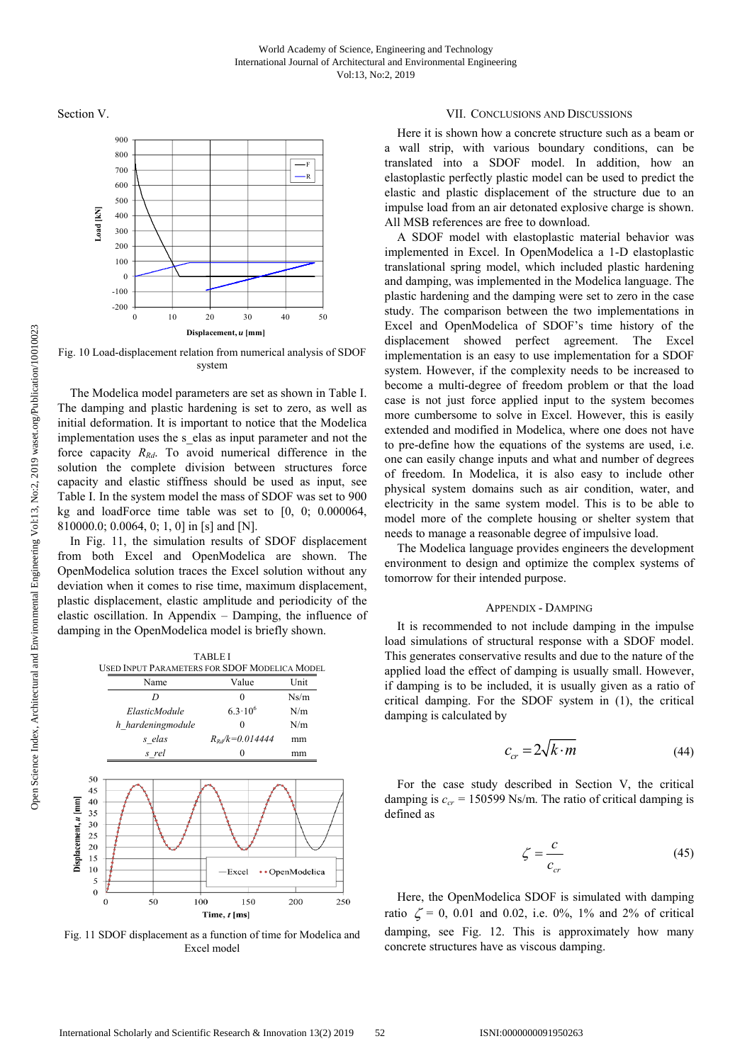Section V.



Fig. 10 Load-displacement relation from numerical analysis of SDOF system

The Modelica model parameters are set as shown in Table I. The damping and plastic hardening is set to zero, as well as initial deformation. It is important to notice that the Modelica implementation uses the s elas as input parameter and not the force capacity  $R_{Rd}$ . To avoid numerical difference in the solution the complete division between structures force capacity and elastic stiffness should be used as input, see Table I. In the system model the mass of SDOF was set to 900 kg and loadForce time table was set to [0, 0; 0.000064, 810000.0; 0.0064, 0; 1, 0] in [s] and [N].

In Fig. 11, the simulation results of SDOF displacement from both Excel and OpenModelica are shown. The OpenModelica solution traces the Excel solution without any deviation when it comes to rise time, maximum displacement, plastic displacement, elastic amplitude and periodicity of the elastic oscillation. In Appendix – Damping, the influence of damping in the OpenModelica model is briefly shown.



Fig. 11 SDOF displacement as a function of time for Modelica and Excel model

#### VII. CONCLUSIONS AND DISCUSSIONS

Here it is shown how a concrete structure such as a beam or a wall strip, with various boundary conditions, can be translated into a SDOF model. In addition, how an elastoplastic perfectly plastic model can be used to predict the elastic and plastic displacement of the structure due to an impulse load from an air detonated explosive charge is shown. All MSB references are free to download.

A SDOF model with elastoplastic material behavior was implemented in Excel. In OpenModelica a 1-D elastoplastic translational spring model, which included plastic hardening and damping, was implemented in the Modelica language. The plastic hardening and the damping were set to zero in the case study. The comparison between the two implementations in Excel and OpenModelica of SDOF's time history of the displacement showed perfect agreement. The Excel implementation is an easy to use implementation for a SDOF system. However, if the complexity needs to be increased to become a multi-degree of freedom problem or that the load case is not just force applied input to the system becomes more cumbersome to solve in Excel. However, this is easily extended and modified in Modelica, where one does not have to pre-define how the equations of the systems are used, i.e. one can easily change inputs and what and number of degrees of freedom. In Modelica, it is also easy to include other physical system domains such as air condition, water, and electricity in the same system model. This is to be able to model more of the complete housing or shelter system that needs to manage a reasonable degree of impulsive load.

The Modelica language provides engineers the development environment to design and optimize the complex systems of tomorrow for their intended purpose.

#### APPENDIX - DAMPING

It is recommended to not include damping in the impulse load simulations of structural response with a SDOF model. This generates conservative results and due to the nature of the applied load the effect of damping is usually small. However, if damping is to be included, it is usually given as a ratio of critical damping. For the SDOF system in (1), the critical damping is calculated by

$$
c_{cr} = 2\sqrt{k \cdot m} \tag{44}
$$

For the case study described in Section V, the critical damping is  $c_{cr}$  = 150599 Ns/m. The ratio of critical damping is defined as

$$
\zeta = \frac{c}{c_{cr}}\tag{45}
$$

Here, the OpenModelica SDOF is simulated with damping ratio  $\zeta = 0$ , 0.01 and 0.02, i.e. 0%, 1% and 2% of critical damping, see Fig. 12. This is approximately how many concrete structures have as viscous damping.